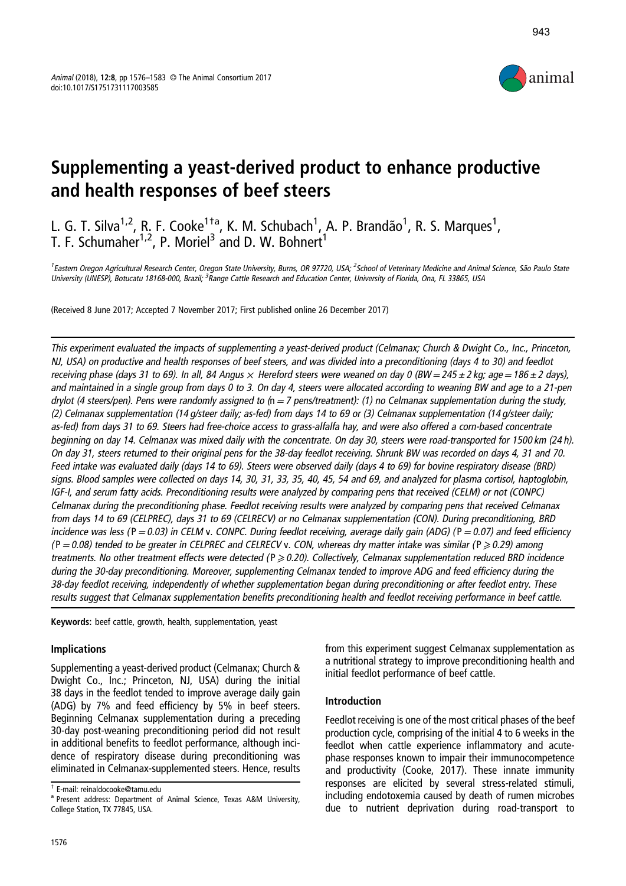

# Supplementing a yeast-derived product to enhance productive and health responses of beef steers

L. G. T. Silva<sup>1,2</sup>, R. F. Cooke<sup>1†a</sup>, K. M. Schubach<sup>1</sup>, A. P. Brandão<sup>1</sup>, R. S. Marques<sup>1</sup>, T. F. Schumaher<sup>1,2</sup>, P. Moriel<sup>3</sup> and D. W. Bohnert<sup>1</sup>

<sup>1</sup>Eastern Oregon Agricultural Research Center, Oregon State University, Burns, OR 97720, USA; <sup>2</sup>School of Veterinary Medicine and Animal Science, São Paulo State University (UNESP), Botucatu 18168-000, Brazil; <sup>3</sup>Range Cattle Research and Education Center, University of Florida, Ona, FL 33865, USA

(Received 8 June 2017; Accepted 7 November 2017; First published online 26 December 2017)

This experiment evaluated the impacts of supplementing <sup>a</sup> yeast-derived product (Celmanax; Church & Dwight Co., Inc., Princeton, NJ, USA) on productive and health responses of beef steers, and was divided into <sup>a</sup> preconditioning (days 4 to 30) and feedlot receiving phase (days 31 to 69). In all, 84 Angus  $\times$  Hereford steers were weaned on day 0 (BW = 245  $\pm$  2 kg; age = 186  $\pm$  2 days), and maintained in <sup>a</sup> single group from days 0 to 3. On day 4, steers were allocated according to weaning BW and age to <sup>a</sup> 21-pen drylot (4 steers/pen). Pens were randomly assigned to  $(n=7 \text{ pens/treatment})$ : (1) no Celmanax supplementation during the study, (2) Celmanax supplementation (14 g/steer daily; as-fed) from days 14 to 69 or (3) Celmanax supplementation (14 g/steer daily; as-fed) from days 31 to 69. Steers had free-choice access to grass-alfalfa hay, and were also offered <sup>a</sup> corn-based concentrate beginning on day 14. Celmanax was mixed daily with the concentrate. On day 30, steers were road-transported for 1500 km (24 h). On day 31, steers returned to their original pens for the 38-day feedlot receiving. Shrunk BW was recorded on days 4, 31 and 70. Feed intake was evaluated daily (days 14 to 69). Steers were observed daily (days 4 to 69) for bovine respiratory disease (BRD) signs. Blood samples were collected on days 14, 30, 31, 33, 35, 40, 45, 54 and 69, and analyzed for plasma cortisol, haptoglobin, IGF-I, and serum fatty acids. Preconditioning results were analyzed by comparing pens that received (CELM) or not (CONPC) Celmanax during the preconditioning phase. Feedlot receiving results were analyzed by comparing pens that received Celmanax from days 14 to 69 (CELPREC), days 31 to 69 (CELRECV) or no Celmanax supplementation (CON). During preconditioning, BRD incidence was less ( $P=0.03$ ) in CELM v. CONPC. During feedlot receiving, average daily gain (ADG) ( $P=0.07$ ) and feed efficiency  $(P=0.08)$  tended to be greater in CELPREC and CELRECV v. CON, whereas dry matter intake was similar ( $P \ge 0.29$ ) among treatments. No other treatment effects were detected ( $P \ge 0.20$ ). Collectively, Celmanax supplementation reduced BRD incidence during the 30-day preconditioning. Moreover, supplementing Celmanax tended to improve ADG and feed efficiency during the 38-day feedlot receiving, independently of whether supplementation began during preconditioning or after feedlot entry. These results suggest that Celmanax supplementation benefits preconditioning health and feedlot receiving performance in beef cattle.

Keywords: beef cattle, growth, health, supplementation, yeast

## Implications

Supplementing a yeast-derived product (Celmanax; Church & Dwight Co., Inc.; Princeton, NJ, USA) during the initial 38 days in the feedlot tended to improve average daily gain (ADG) by 7% and feed efficiency by 5% in beef steers. Beginning Celmanax supplementation during a preceding 30-day post-weaning preconditioning period did not result in additional benefits to feedlot performance, although incidence of respiratory disease during preconditioning was eliminated in Celmanax-supplemented steers. Hence, results from this experiment suggest Celmanax supplementation as a nutritional strategy to improve preconditioning health and initial feedlot performance of beef cattle.

#### Introduction

Feedlot receiving is one of the most critical phases of the beef production cycle, comprising of the initial 4 to 6 weeks in the feedlot when cattle experience inflammatory and acutephase responses known to impair their immunocompetence and productivity (Cooke, [2017\)](#page-6-0). These innate immunity responses are elicited by several stress-related stimuli, including endotoxemia caused by death of rumen microbes due to nutrient deprivation during road-transport to

<sup>†</sup> E-mail: [reinaldocooke@tamu.edu](mailto:reinaldocooke@tamu.edu)

<sup>a</sup> Present address: Department of Animal Science, Texas A&M University, College Station, TX 77845, USA.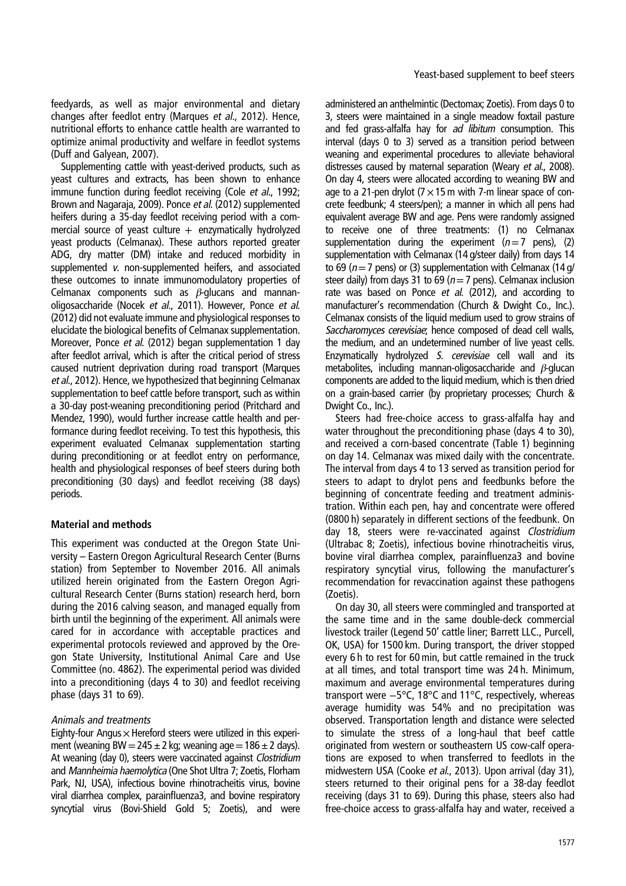feedyards, as well as major environmental and dietary changes after feedlot entry (Marques et al., [2012\)](#page-6-0). Hence, nutritional efforts to enhance cattle health are warranted to optimize animal productivity and welfare in feedlot systems (Duff and Galyean, [2007\)](#page-6-0).

Supplementing cattle with yeast-derived products, such as yeast cultures and extracts, has been shown to enhance immune function during feedlot receiving (Cole et al., [1992](#page-6-0); Brown and Nagaraja, [2009\)](#page-6-0). Ponce et al. [\(2012\)](#page-7-0) supplemented heifers during a 35-day feedlot receiving period with a commercial source of yeast culture  $+$  enzymatically hydrolyzed yeast products (Celmanax). These authors reported greater ADG, dry matter (DM) intake and reduced morbidity in supplemented <sup>v</sup>. non-supplemented heifers, and associated these outcomes to innate immunomodulatory properties of Celmanax components such as  $\beta$ -glucans and mannanoligosaccharide (Nocek et al., [2011](#page-7-0)). However, Ponce et al. [\(2012](#page-7-0)) did not evaluate immune and physiological responses to elucidate the biological benefits of Celmanax supplementation. Moreover, Ponce et al. [\(2012\)](#page-7-0) began supplementation 1 day after feedlot arrival, which is after the critical period of stress caused nutrient deprivation during road transport (Marques et al., [2012\)](#page-6-0). Hence, we hypothesized that beginning Celmanax supplementation to beef cattle before transport, such as within a 30-day post-weaning preconditioning period (Pritchard and Mendez, [1990\)](#page-7-0), would further increase cattle health and performance during feedlot receiving. To test this hypothesis, this experiment evaluated Celmanax supplementation starting during preconditioning or at feedlot entry on performance, health and physiological responses of beef steers during both preconditioning (30 days) and feedlot receiving (38 days) periods.

#### Material and methods

This experiment was conducted at the Oregon State University – Eastern Oregon Agricultural Research Center (Burns station) from September to November 2016. All animals utilized herein originated from the Eastern Oregon Agricultural Research Center (Burns station) research herd, born during the 2016 calving season, and managed equally from birth until the beginning of the experiment. All animals were cared for in accordance with acceptable practices and experimental protocols reviewed and approved by the Oregon State University, Institutional Animal Care and Use Committee (no. 4862). The experimental period was divided into a preconditioning (days 4 to 30) and feedlot receiving phase (days 31 to 69).

#### Animals and treatments

Eighty-four Angus  $\times$  Hereford steers were utilized in this experiment (weaning BW = 245  $\pm$  2 kg; weaning age = 186  $\pm$  2 days). At weaning (day 0), steers were vaccinated against Clostridium and Mannheimia haemolytica (One Shot Ultra 7; Zoetis, Florham Park, NJ, USA), infectious bovine rhinotracheitis virus, bovine viral diarrhea complex, parainfluenza3, and bovine respiratory syncytial virus (Bovi-Shield Gold 5; Zoetis), and were administered an anthelmintic (Dectomax; Zoetis). From days 0 to 3, steers were maintained in a single meadow foxtail pasture and fed grass-alfalfa hay for ad libitum consumption. This interval (days 0 to 3) served as a transition period between weaning and experimental procedures to alleviate behavioral distresses caused by maternal separation (Weary et al., [2008](#page-7-0)). On day 4, steers were allocated according to weaning BW and age to a 21-pen drylot ( $7 \times 15$  m with 7-m linear space of concrete feedbunk; 4 steers/pen); a manner in which all pens had equivalent average BW and age. Pens were randomly assigned to receive one of three treatments: (1) no Celmanax supplementation during the experiment  $(n=7 \text{ pens})$ , (2) supplementation with Celmanax (14 g/steer daily) from days 14 to 69 ( $n=7$  pens) or (3) supplementation with Celmanax (14 g/ steer daily) from days 31 to 69 ( $n=7$  pens). Celmanax inclusion rate was based on Ponce et al. [\(2012\)](#page-7-0), and according to manufacturer's recommendation (Church & Dwight Co., Inc.). Celmanax consists of the liquid medium used to grow strains of Saccharomyces cerevisiae; hence composed of dead cell walls, the medium, and an undetermined number of live yeast cells. Enzymatically hydrolyzed S. cerevisiae cell wall and its metabolites, including mannan-oligosaccharide and β-glucan components are added to the liquid medium, which is then dried on a grain-based carrier (by proprietary processes; Church & Dwight Co., Inc.).

Steers had free-choice access to grass-alfalfa hay and water throughout the preconditioning phase (days 4 to 30), and received a corn-based concentrate [\(Table 1](#page-2-0)) beginning on day 14. Celmanax was mixed daily with the concentrate. The interval from days 4 to 13 served as transition period for steers to adapt to drylot pens and feedbunks before the beginning of concentrate feeding and treatment administration. Within each pen, hay and concentrate were offered (0800 h) separately in different sections of the feedbunk. On day 18, steers were re-vaccinated against Clostridium (Ultrabac 8; Zoetis), infectious bovine rhinotracheitis virus, bovine viral diarrhea complex, parainfluenza3 and bovine respiratory syncytial virus, following the manufacturer's recommendation for revaccination against these pathogens (Zoetis).

On day 30, all steers were commingled and transported at the same time and in the same double-deck commercial livestock trailer (Legend 50' cattle liner; Barrett LLC., Purcell, OK, USA) for 1500 km. During transport, the driver stopped every 6 h to rest for 60 min, but cattle remained in the truck at all times, and total transport time was 24 h. Minimum, maximum and average environmental temperatures during transport were −5°C, 18°C and 11°C, respectively, whereas average humidity was 54% and no precipitation was observed. Transportation length and distance were selected to simulate the stress of a long-haul that beef cattle originated from western or southeastern US cow-calf operations are exposed to when transferred to feedlots in the midwestern USA (Cooke et al., [2013\)](#page-6-0). Upon arrival (day 31), steers returned to their original pens for a 38-day feedlot receiving (days 31 to 69). During this phase, steers also had free-choice access to grass-alfalfa hay and water, received a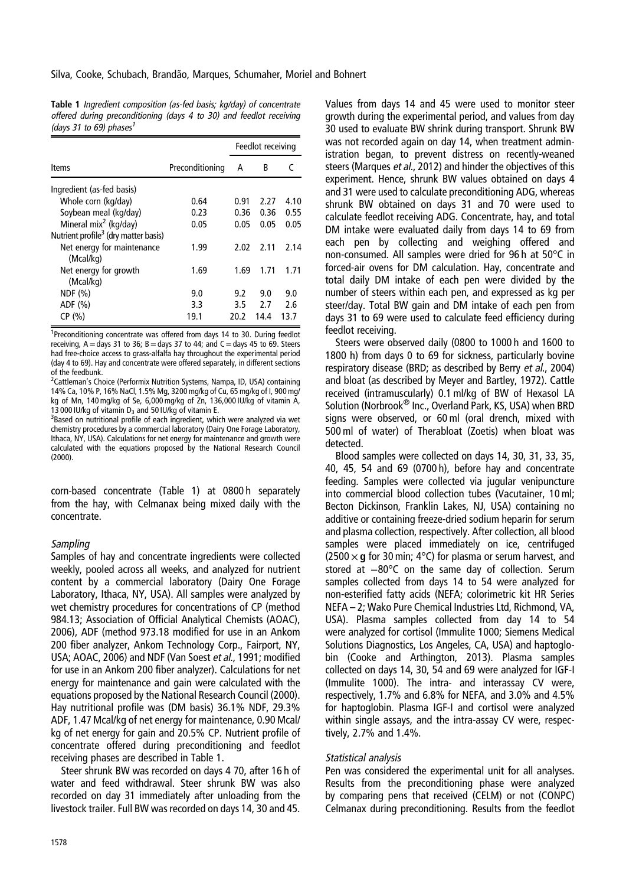<span id="page-2-0"></span>Table 1 Ingredient composition (as-fed basis; kg/day) of concentrate offered during preconditioning (days 4 to 30) and feedlot receiving (days 31 to 69) phases<sup>1</sup>

|                                                  |                 |      | Feedlot receiving |      |
|--------------------------------------------------|-----------------|------|-------------------|------|
| Items                                            | Preconditioning | А    | B                 | r    |
| Ingredient (as-fed basis)                        |                 |      |                   |      |
| Whole corn (kg/day)                              | 0.64            | 0.91 | 2.27              | 4.10 |
| Soybean meal (kg/day)                            | 0.23            | 0.36 | 0.36              | 0.55 |
| Mineral mix <sup>2</sup> (kg/day)                | 0.05            | 0.05 | 0.05              | 0.05 |
| Nutrient profile <sup>3</sup> (dry matter basis) |                 |      |                   |      |
| Net energy for maintenance<br>(Mcal/kg)          | 1.99            | 2.02 | 2.11              | 2.14 |
| Net energy for growth<br>(Mcal/kg)               | 1.69            | 1.69 | 1.71              | 1.71 |
| NDF (%)                                          | 9.0             | 9.2  | 9.0               | 9.0  |
| ADF(%)                                           | 3.3             | 3.5  | 2.7               | 2.6  |
| CP(%)                                            | 19.1            | 20.2 | 14.4              | 13.7 |

<sup>1</sup>Preconditioning concentrate was offered from days 14 to 30. During feedlot receiving,  $A =$  days 31 to 36; B = days 37 to 44; and C = days 45 to 69. Steers had free-choice access to grass-alfalfa hay throughout the experimental period (day 4 to 69). Hay and concentrate were offered separately, in different sections of the feedbunk.

<sup>2</sup>Cattleman's Choice (Performix Nutrition Systems, Nampa, ID, USA) containing 14% Ca, 10% P, 16% NaCl, 1.5% Mg, 3200 mg/kg of Cu, 65 mg/kg of I, 900 mg/ kg of Mn, 140 mg/kg of Se, 6,000 mg/kg of Zn, 136,000 IU/kg of vitamin A, 13 000 IU/kg of vitamin  $D_3$  and 50 IU/kg of vitamin E.

<sup>3</sup>Based on nutritional profile of each ingredient, which were analyzed via wet chemistry procedures by a commercial laboratory (Dairy One Forage Laboratory, Ithaca, NY, USA). Calculations for net energy for maintenance and growth were calculated with the equations proposed by the National Research Council  $(2000)$  $(2000)$ .

corn-based concentrate (Table 1) at 0800 h separately from the hay, with Celmanax being mixed daily with the concentrate.

#### Sampling

Samples of hay and concentrate ingredients were collected weekly, pooled across all weeks, and analyzed for nutrient content by a commercial laboratory (Dairy One Forage Laboratory, Ithaca, NY, USA). All samples were analyzed by wet chemistry procedures for concentrations of CP (method 984.13; Association of Official Analytical Chemists (AOAC), [2006](#page-6-0)), ADF (method 973.18 modified for use in an Ankom 200 fiber analyzer, Ankom Technology Corp., Fairport, NY, USA; AOAC, [2006](#page-6-0)) and NDF (Van Soest et al., [1991](#page-7-0); modified for use in an Ankom 200 fiber analyzer). Calculations for net energy for maintenance and gain were calculated with the equations proposed by the National Research Council [\(2000](#page-7-0)). Hay nutritional profile was (DM basis) 36.1% NDF, 29.3% ADF, 1.47 Mcal/kg of net energy for maintenance, 0.90 Mcal/ kg of net energy for gain and 20.5% CP. Nutrient profile of concentrate offered during preconditioning and feedlot receiving phases are described in Table 1.

Steer shrunk BW was recorded on days 4 70, after 16 h of water and feed withdrawal. Steer shrunk BW was also recorded on day 31 immediately after unloading from the livestock trailer. Full BW was recorded on days 14, 30 and 45.

Values from days 14 and 45 were used to monitor steer growth during the experimental period, and values from day 30 used to evaluate BW shrink during transport. Shrunk BW was not recorded again on day 14, when treatment administration began, to prevent distress on recently-weaned steers (Marques et al., [2012\)](#page-6-0) and hinder the objectives of this experiment. Hence, shrunk BW values obtained on days 4 and 31 were used to calculate preconditioning ADG, whereas shrunk BW obtained on days 31 and 70 were used to calculate feedlot receiving ADG. Concentrate, hay, and total DM intake were evaluated daily from days 14 to 69 from each pen by collecting and weighing offered and non-consumed. All samples were dried for 96 h at 50°C in forced-air ovens for DM calculation. Hay, concentrate and total daily DM intake of each pen were divided by the number of steers within each pen, and expressed as kg per steer/day. Total BW gain and DM intake of each pen from days 31 to 69 were used to calculate feed efficiency during feedlot receiving.

Steers were observed daily (0800 to 1000 h and 1600 to 1800 h) from days 0 to 69 for sickness, particularly bovine respiratory disease (BRD; as described by Berry et al., [2004\)](#page-6-0) and bloat (as described by Meyer and Bartley, [1972\)](#page-6-0). Cattle received (intramuscularly) 0.1 ml/kg of BW of Hexasol LA Solution (Norbrook® Inc., Overland Park, KS, USA) when BRD signs were observed, or 60 ml (oral drench, mixed with 500 ml of water) of Therabloat (Zoetis) when bloat was detected.

Blood samples were collected on days 14, 30, 31, 33, 35, 40, 45, 54 and 69 (0700 h), before hay and concentrate feeding. Samples were collected via jugular venipuncture into commercial blood collection tubes (Vacutainer, 10 ml; Becton Dickinson, Franklin Lakes, NJ, USA) containing no additive or containing freeze-dried sodium heparin for serum and plasma collection, respectively. After collection, all blood samples were placed immediately on ice, centrifuged (2500  $\times$  g for 30 min; 4°C) for plasma or serum harvest, and stored at −80°C on the same day of collection. Serum samples collected from days 14 to 54 were analyzed for non-esterified fatty acids (NEFA; colorimetric kit HR Series NEFA – 2; Wako Pure Chemical Industries Ltd, Richmond, VA, USA). Plasma samples collected from day 14 to 54 were analyzed for cortisol (Immulite 1000; Siemens Medical Solutions Diagnostics, Los Angeles, CA, USA) and haptoglobin (Cooke and Arthington, [2013\)](#page-6-0). Plasma samples collected on days 14, 30, 54 and 69 were analyzed for IGF-I (Immulite 1000). The intra- and interassay CV were, respectively, 1.7% and 6.8% for NEFA, and 3.0% and 4.5% for haptoglobin. Plasma IGF-I and cortisol were analyzed within single assays, and the intra-assay CV were, respectively, 2.7% and 1.4%.

## Statistical analysis

Pen was considered the experimental unit for all analyses. Results from the preconditioning phase were analyzed by comparing pens that received (CELM) or not (CONPC) Celmanax during preconditioning. Results from the feedlot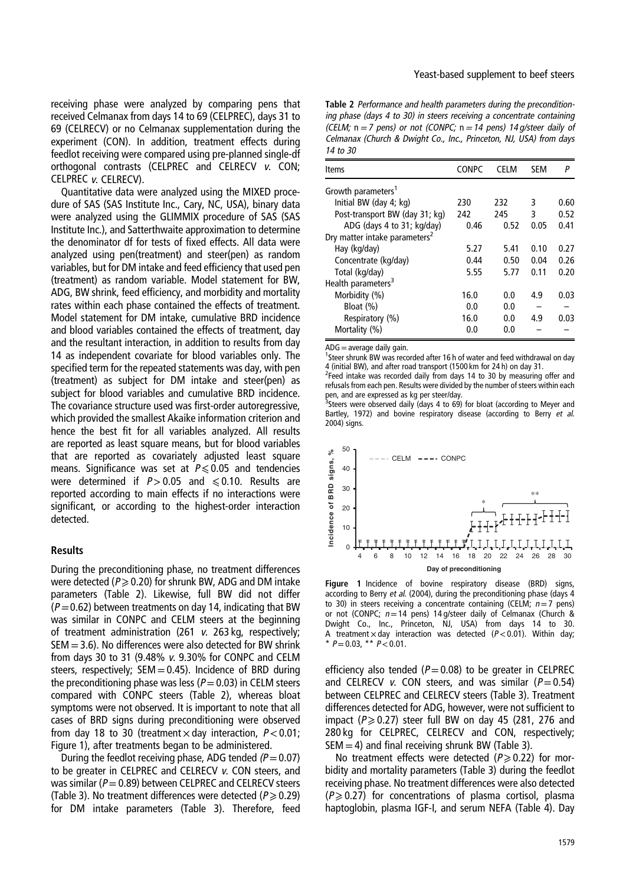<span id="page-3-0"></span>receiving phase were analyzed by comparing pens that received Celmanax from days 14 to 69 (CELPREC), days 31 to 69 (CELRECV) or no Celmanax supplementation during the experiment (CON). In addition, treatment effects during feedlot receiving were compared using pre-planned single-df orthogonal contrasts (CELPREC and CELRECV <sup>v</sup>. CON; CELPREC <sup>v</sup>. CELRECV).

Quantitative data were analyzed using the MIXED procedure of SAS (SAS Institute Inc., Cary, NC, USA), binary data were analyzed using the GLIMMIX procedure of SAS (SAS Institute Inc.), and Satterthwaite approximation to determine the denominator df for tests of fixed effects. All data were analyzed using pen(treatment) and steer(pen) as random variables, but for DM intake and feed efficiency that used pen (treatment) as random variable. Model statement for BW, ADG, BW shrink, feed efficiency, and morbidity and mortality rates within each phase contained the effects of treatment. Model statement for DM intake, cumulative BRD incidence and blood variables contained the effects of treatment, day and the resultant interaction, in addition to results from day 14 as independent covariate for blood variables only. The specified term for the repeated statements was day, with pen (treatment) as subject for DM intake and steer(pen) as subject for blood variables and cumulative BRD incidence. The covariance structure used was first-order autoregressive, which provided the smallest Akaike information criterion and hence the best fit for all variables analyzed. All results are reported as least square means, but for blood variables that are reported as covariately adjusted least square means. Significance was set at  $P \le 0.05$  and tendencies were determined if  $P > 0.05$  and  $\leq 0.10$ . Results are reported according to main effects if no interactions were significant, or according to the highest-order interaction detected.

#### Results

During the preconditioning phase, no treatment differences were detected ( $P \ge 0.20$ ) for shrunk BW, ADG and DM intake parameters (Table 2). Likewise, full BW did not differ  $(P=0.62)$  between treatments on day 14, indicating that BW was similar in CONPC and CELM steers at the beginning of treatment administration (261 <sup>v</sup>. 263 kg, respectively;  $SEM = 3.6$ ). No differences were also detected for BW shrink from days 30 to 31 (9.48% <sup>v</sup>. 9.30% for CONPC and CELM steers, respectively;  $SEM = 0.45$ ). Incidence of BRD during the preconditioning phase was less ( $P=0.03$ ) in CELM steers compared with CONPC steers (Table 2), whereas bloat symptoms were not observed. It is important to note that all cases of BRD signs during preconditioning were observed from day 18 to 30 (treatment  $\times$  day interaction,  $P < 0.01$ ; Figure 1), after treatments began to be administered.

During the feedlot receiving phase, ADG tended  $(P=0.07)$ to be greater in CELPREC and CELRECV <sup>v</sup>. CON steers, and was similar ( $P=0.89$ ) between CELPREC and CELRECV steers [\(Table 3](#page-4-0)). No treatment differences were detected ( $P \ge 0.29$ ) for DM intake parameters ([Table 3](#page-4-0)). Therefore, feed

Table 2 Performance and health parameters during the preconditioning phase (days 4 to 30) in steers receiving <sup>a</sup> concentrate containing (CELM;  $n = 7$  pens) or not (CONPC;  $n = 14$  pens) 14 g/steer daily of Celmanax (Church & Dwight Co., Inc., Princeton, NJ, USA) from days 14 to 30

| <b>Items</b>                              | <b>CONPC</b> | <b>CELM</b> | <b>SEM</b> | Р    |
|-------------------------------------------|--------------|-------------|------------|------|
| Growth parameters <sup>1</sup>            |              |             |            |      |
| Initial BW (day 4; kg)                    | 230          | 232         | 3          | 0.60 |
| Post-transport BW (day 31; kg)            | 242          | 245         | ξ          | 0.52 |
| ADG (days 4 to 31; kg/day)                | 0.46         | 0.52        | 0.05       | 0.41 |
| Dry matter intake parameters <sup>2</sup> |              |             |            |      |
| Hay (kg/day)                              | 5.27         | 5.41        | 0.10       | 0.27 |
| Concentrate (kg/day)                      | 0.44         | 0.50        | 0.04       | 0.26 |
| Total (kg/day)                            | 5.55         | 5.77        | 0.11       | 0.20 |
| Health parameters <sup>3</sup>            |              |             |            |      |
| Morbidity (%)                             | 16.0         | 0.0         | 4.9        | 0.03 |
| Bloat (%)                                 | 0.0          | 0.0         |            |      |
| Respiratory (%)                           | 16.0         | 0.0         | 4.9        | 0.03 |
| Mortality (%)                             | 0.0          | 0.0         |            |      |

 $ADG =$ average daily gain.

<sup>1</sup>Steer shrunk BW was recorded after 16 h of water and feed withdrawal on day 4 (initial BW), and after road transport (1500 km for 24 h) on day 31.

<sup>2</sup>Feed intake was recorded daily from days 14 to 30 by measuring offer and refusals from each pen. Results were divided by the number of steers within each

pen, and are expressed as kg per steer/day.<br><sup>3</sup>Steers were observed daily (days 4 to 69) for bloat (according to Meyer and Bartley, [1972](#page-6-0)) and boyine respiratory disease (according to Berry et al. [2004\)](#page-6-0) signs.



Figure 1 Incidence of bovine respiratory disease (BRD) signs, according to Berry et al. [\(2004\)](#page-6-0), during the preconditioning phase (days 4 to 30) in steers receiving a concentrate containing (CELM;  $n=7$  pens) or not (CONPC;  $n=14$  pens) 14 g/steer daily of Celmanax (Church & Dwight Co., Inc., Princeton, NJ, USA) from days 14 to 30. A treatment  $\times$  day interaction was detected ( $P < 0.01$ ). Within day; \*  $P = 0.03$ , \*\*  $P < 0.01$ .

efficiency also tended ( $P=0.08$ ) to be greater in CELPREC and CELRECV v. CON steers, and was similar ( $P=0.54$ ) between CELPREC and CELRECV steers [\(Table 3](#page-4-0)). Treatment differences detected for ADG, however, were not sufficient to impact ( $P \ge 0.27$ ) steer full BW on day 45 (281, 276 and 280 kg for CELPREC, CELRECV and CON, respectively;  $SEM = 4$ ) and final receiving shrunk BW [\(Table 3](#page-4-0)).

No treatment effects were detected ( $P \ge 0.22$ ) for morbidity and mortality parameters [\(Table 3](#page-4-0)) during the feedlot receiving phase. No treatment differences were also detected  $(P \ge 0.27)$  for concentrations of plasma cortisol, plasma haptoglobin, plasma IGF-I, and serum NEFA ([Table 4\)](#page-4-0). Day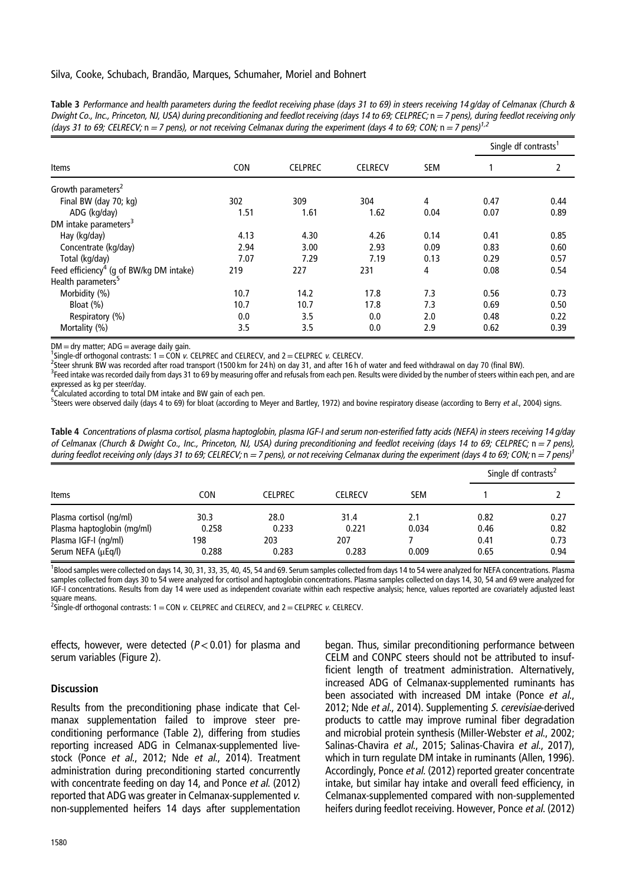<span id="page-4-0"></span>Silva, Cooke, Schubach, Brandão, Marques, Schumaher, Moriel and Bohnert

| Table 3 Performance and health parameters during the feedlot receiving phase (days 31 to 69) in steers receiving 14 g/day of Celmanax (Church &        |  |
|--------------------------------------------------------------------------------------------------------------------------------------------------------|--|
| Dwight Co., Inc., Princeton, NJ, USA) during preconditioning and feedlot receiving (days 14 to 69; CELPREC; n = 7 pens), during feedlot receiving only |  |
| (days 31 to 69; CELRECV; $n = 7$ pens), or not receiving Celmanax during the experiment (days 4 to 69; CON; $n = 7$ pens) <sup>1,2</sup>               |  |

|                                                     |            |                |                |            | Single df contrasts <sup>1</sup> |      |
|-----------------------------------------------------|------------|----------------|----------------|------------|----------------------------------|------|
| Items                                               | <b>CON</b> | <b>CELPREC</b> | <b>CELRECV</b> | <b>SEM</b> |                                  | 2    |
| Growth parameters <sup>2</sup>                      |            |                |                |            |                                  |      |
| Final BW (day 70; kg)                               | 302        | 309            | 304            | 4          | 0.47                             | 0.44 |
| ADG (kg/day)                                        | 1.51       | 1.61           | 1.62           | 0.04       | 0.07                             | 0.89 |
| DM intake parameters <sup>3</sup>                   |            |                |                |            |                                  |      |
| Hay (kg/day)                                        | 4.13       | 4.30           | 4.26           | 0.14       | 0.41                             | 0.85 |
| Concentrate (kg/day)                                | 2.94       | 3.00           | 2.93           | 0.09       | 0.83                             | 0.60 |
| Total (kg/day)                                      | 7.07       | 7.29           | 7.19           | 0.13       | 0.29                             | 0.57 |
| Feed efficiency <sup>4</sup> (g of BW/kg DM intake) | 219        | 227            | 231            | 4          | 0.08                             | 0.54 |
| Health parameters <sup>5</sup>                      |            |                |                |            |                                  |      |
| Morbidity (%)                                       | 10.7       | 14.2           | 17.8           | 7.3        | 0.56                             | 0.73 |
| Bloat (%)                                           | 10.7       | 10.7           | 17.8           | 7.3        | 0.69                             | 0.50 |
| Respiratory (%)                                     | 0.0        | 3.5            | 0.0            | 2.0        | 0.48                             | 0.22 |
| Mortality (%)                                       | 3.5        | 3.5            | 0.0            | 2.9        | 0.62                             | 0.39 |

 $DM =$  dry matter;  $ADG =$  average daily gain.

 $^1$ Single-df orthogonal contrasts: 1 = CON v. CELPREC and CELRECV, and 2 = CELPREC v. CELRECV.

Steer shrunk BW was recorded after road transport (1500 km for 24 h) on day 31, and after 16 h of water and feed withdrawal on day 70 (final BW).

<sup>3</sup>Feed intake was recorded daily from days 31 to 69 by measuring offer and refusals from each pen. Results were divided by the number of steers within each pen, and are expressed as kg per steer/day.

<sup>4</sup>Calculated according to total DM intake and BW gain of each pen.

5Steers were observed daily (days 4 to 69) for bloat (according to Meyer and Bartley, [1972](#page-6-0)) and bovine respiratory disease (according to Berry et al., [2004](#page-6-0)) signs.

Table 4 Concentrations of plasma cortisol, plasma haptoglobin, plasma IGF-I and serum non-esterified fatty acids (NEFA) in steers receiving <sup>14</sup> g/day of Celmanax (Church & Dwight Co., Inc., Princeton, NJ, USA) during preconditioning and feedlot receiving (days <sup>14</sup> to 69; CELPREC; n=<sup>7</sup> pens), during feedlot receiving only (days 31 to 69; CELRECV;  $n = 7$  pens), or not receiving Celmanax during the experiment (days 4 to 69; CON;  $n = 7$  pens)<sup>2</sup>

| Items                      |       | <b>CELPREC</b> | <b>CELRECV</b> | <b>SEM</b> | Single df contrasts <sup>2</sup> |      |
|----------------------------|-------|----------------|----------------|------------|----------------------------------|------|
|                            | CON   |                |                |            |                                  |      |
| Plasma cortisol (ng/ml)    | 30.3  | 28.0           | 31.4           | 2.1        | 0.82                             | 0.27 |
| Plasma haptoglobin (mg/ml) | 0.258 | 0.233          | 0.221          | 0.034      | 0.46                             | 0.82 |
| Plasma IGF-I (ng/ml)       | 198   | 203            | 207            |            | 0.41                             | 0.73 |
| Serum NEFA (µEq/l)         | 0.288 | 0.283          | 0.283          | 0.009      | 0.65                             | 0.94 |

<sup>1</sup>Blood samples were collected on days 14, 30, 31, 33, 35, 40, 45, 54 and 69. Serum samples collected from days 14 to 54 were analyzed for NEFA concentrations. Plasma samples collected from days 30 to 54 were analyzed for cortisol and haptoglobin concentrations. Plasma samples collected on days 14, 30, 54 and 69 were analyzed for IGF-I concentrations. Results from day 14 were used as independent covariate within each respective analysis; hence, values reported are covariately adjusted least

square means.<br><sup>2</sup>Single-df orthogonal contrasts: 1 = CON *v*. CELPREC and CELRECV, and 2 = CELPREC *v*. CELRECV.

effects, however, were detected ( $P < 0.01$ ) for plasma and serum variables ([Figure 2\)](#page-5-0).

### **Discussion**

Results from the preconditioning phase indicate that Celmanax supplementation failed to improve steer preconditioning performance [\(Table 2\)](#page-3-0), differing from studies reporting increased ADG in Celmanax-supplemented livestock (Ponce et al., [2012;](#page-7-0) Nde et al., [2014\)](#page-7-0). Treatment administration during preconditioning started concurrently with concentrate feeding on day 14, and Ponce et al. ([2012\)](#page-7-0) reported that ADG was greater in Celmanax-supplemented <sup>v</sup>. non-supplemented heifers 14 days after supplementation

1580

began. Thus, similar preconditioning performance between CELM and CONPC steers should not be attributed to insufficient length of treatment administration. Alternatively, increased ADG of Celmanax-supplemented ruminants has been associated with increased DM intake (Ponce et al., [2012](#page-7-0); Nde et al., [2014\)](#page-7-0). Supplementing S. cerevisiae-derived products to cattle may improve ruminal fiber degradation and microbial protein synthesis (Miller-Webster et al., [2002](#page-6-0); Salinas-Chavira et al., [2015;](#page-7-0) Salinas-Chavira et al., [2017](#page-7-0)), which in turn regulate DM intake in ruminants (Allen, [1996](#page-6-0)). Accordingly, Ponce et al. ([2012\)](#page-7-0) reported greater concentrate intake, but similar hay intake and overall feed efficiency, in Celmanax-supplemented compared with non-supplemented heifers during feedlot receiving. However, Ponce et al. ([2012\)](#page-7-0)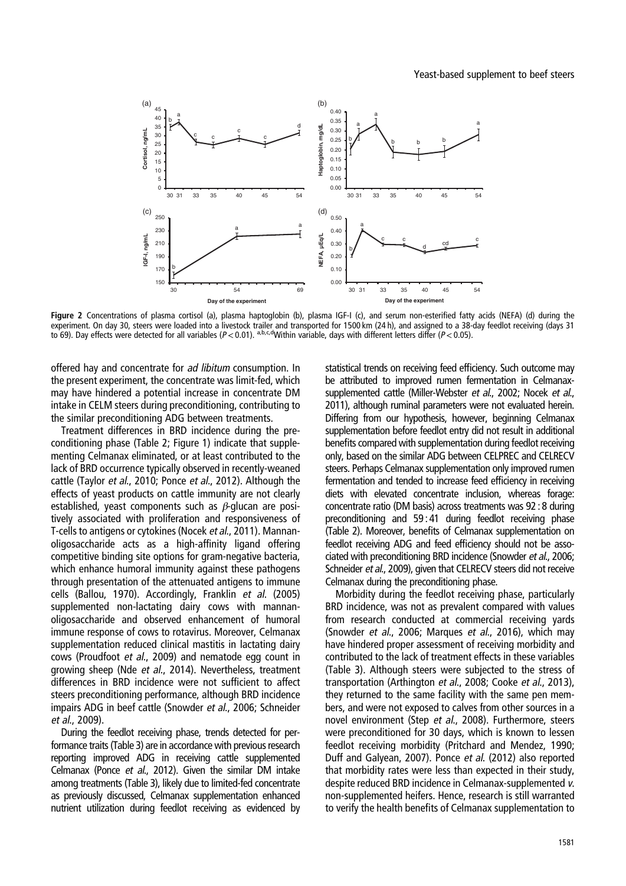<span id="page-5-0"></span>

Figure 2 Concentrations of plasma cortisol (a), plasma haptoglobin (b), plasma IGF-I (c), and serum non-esterified fatty acids (NEFA) (d) during the experiment. On day 30, steers were loaded into a livestock trailer and transported for 1500 km (24 h), and assigned to a 38-day feedlot receiving (days 31 to 69). Day effects were detected for all variables  $(P < 0.01)$ .  $a,b,c,d$  Within variable, days with different letters differ  $(P < 0.05)$ .

offered hay and concentrate for ad libitum consumption. In the present experiment, the concentrate was limit-fed, which may have hindered a potential increase in concentrate DM intake in CELM steers during preconditioning, contributing to the similar preconditioning ADG between treatments.

Treatment differences in BRD incidence during the preconditioning phase ([Table 2](#page-3-0); [Figure 1](#page-3-0)) indicate that supplementing Celmanax eliminated, or at least contributed to the lack of BRD occurrence typically observed in recently-weaned cattle (Taylor et al., [2010](#page-7-0); Ponce et al., [2012](#page-7-0)). Although the effects of yeast products on cattle immunity are not clearly established, yeast components such as  $\beta$ -glucan are positively associated with proliferation and responsiveness of T-cells to antigens or cytokines (Nocek et al., [2011](#page-7-0)). Mannanoligosaccharide acts as a high-affinity ligand offering competitive binding site options for gram-negative bacteria, which enhance humoral immunity against these pathogens through presentation of the attenuated antigens to immune cells (Ballou, [1970\)](#page-6-0). Accordingly, Franklin et al. ([2005\)](#page-6-0) supplemented non-lactating dairy cows with mannanoligosaccharide and observed enhancement of humoral immune response of cows to rotavirus. Moreover, Celmanax supplementation reduced clinical mastitis in lactating dairy cows (Proudfoot et al., [2009](#page-7-0)) and nematode egg count in growing sheep (Nde et al., [2014](#page-7-0)). Nevertheless, treatment differences in BRD incidence were not sufficient to affect steers preconditioning performance, although BRD incidence impairs ADG in beef cattle (Snowder et al., [2006;](#page-7-0) Schneider et al., [2009\)](#page-7-0).

During the feedlot receiving phase, trends detected for performance traits [\(Table 3\)](#page-4-0) are in accordance with previous research reporting improved ADG in receiving cattle supplemented Celmanax (Ponce et al., [2012\)](#page-7-0). Given the similar DM intake among treatments [\(Table 3](#page-4-0)), likely due to limited-fed concentrate as previously discussed, Celmanax supplementation enhanced nutrient utilization during feedlot receiving as evidenced by statistical trends on receiving feed efficiency. Such outcome may be attributed to improved rumen fermentation in Celmanax-supplemented cattle (Miller-Webster et al., [2002](#page-6-0); Nocek et al., [2011](#page-7-0)), although ruminal parameters were not evaluated herein. Differing from our hypothesis, however, beginning Celmanax supplementation before feedlot entry did not result in additional benefits compared with supplementation during feedlot receiving only, based on the similar ADG between CELPREC and CELRECV steers. Perhaps Celmanax supplementation only improved rumen fermentation and tended to increase feed efficiency in receiving diets with elevated concentrate inclusion, whereas forage: concentrate ratio (DM basis) across treatments was 92 : 8 during preconditioning and 59 : 41 during feedlot receiving phase [\(Table 2\)](#page-3-0). Moreover, benefits of Celmanax supplementation on feedlot receiving ADG and feed efficiency should not be associated with preconditioning BRD incidence (Snowder et al., [2006](#page-7-0); Schneider et al., [2009](#page-7-0)), given that CELRECV steers did not receive Celmanax during the preconditioning phase.

Morbidity during the feedlot receiving phase, particularly BRD incidence, was not as prevalent compared with values from research conducted at commercial receiving yards (Snowder et al., [2006](#page-7-0); Marques et al., [2016\)](#page-6-0), which may have hindered proper assessment of receiving morbidity and contributed to the lack of treatment effects in these variables [\(Table 3\)](#page-4-0). Although steers were subjected to the stress of transportation (Arthington et al., [2008](#page-6-0); Cooke et al., [2013](#page-6-0)), they returned to the same facility with the same pen members, and were not exposed to calves from other sources in a novel environment (Step et al., [2008\)](#page-7-0). Furthermore, steers were preconditioned for 30 days, which is known to lessen feedlot receiving morbidity (Pritchard and Mendez, [1990](#page-7-0); Duff and Galyean, [2007](#page-6-0)). Ponce et al. ([2012\)](#page-7-0) also reported that morbidity rates were less than expected in their study, despite reduced BRD incidence in Celmanax-supplemented <sup>v</sup>. non-supplemented heifers. Hence, research is still warranted to verify the health benefits of Celmanax supplementation to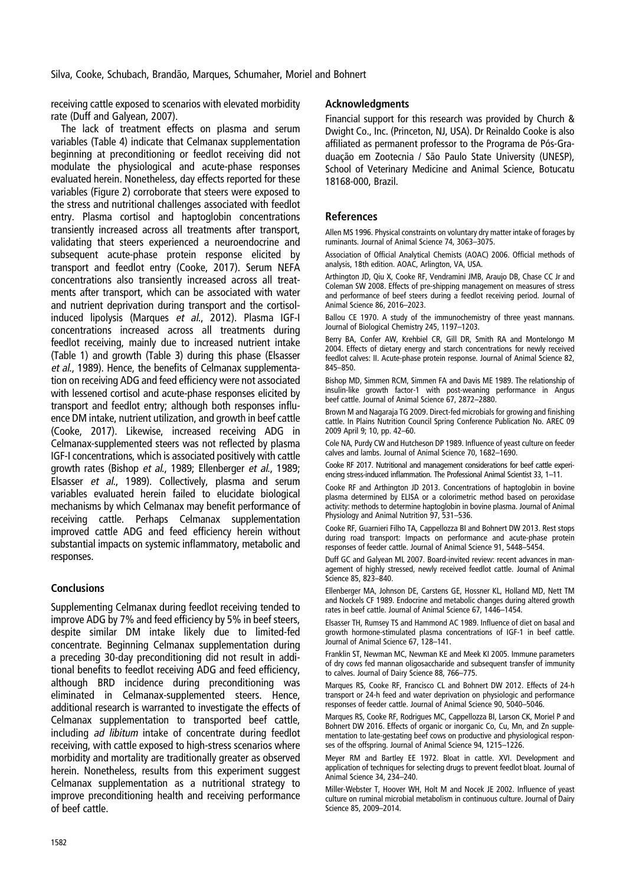<span id="page-6-0"></span>Silva, Cooke, Schubach, Brandão, Marques, Schumaher, Moriel and Bohnert

receiving cattle exposed to scenarios with elevated morbidity rate (Duff and Galyean, 2007).

The lack of treatment effects on plasma and serum variables [\(Table 4\)](#page-4-0) indicate that Celmanax supplementation beginning at preconditioning or feedlot receiving did not modulate the physiological and acute-phase responses evaluated herein. Nonetheless, day effects reported for these variables [\(Figure 2](#page-5-0)) corroborate that steers were exposed to the stress and nutritional challenges associated with feedlot entry. Plasma cortisol and haptoglobin concentrations transiently increased across all treatments after transport, validating that steers experienced a neuroendocrine and subsequent acute-phase protein response elicited by transport and feedlot entry (Cooke, 2017). Serum NEFA concentrations also transiently increased across all treatments after transport, which can be associated with water and nutrient deprivation during transport and the cortisolinduced lipolysis (Marques et al., 2012). Plasma IGF-I concentrations increased across all treatments during feedlot receiving, mainly due to increased nutrient intake [\(Table 1](#page-2-0)) and growth [\(Table 3](#page-4-0)) during this phase (Elsasser et al., 1989). Hence, the benefits of Celmanax supplementation on receiving ADG and feed efficiency were not associated with lessened cortisol and acute-phase responses elicited by transport and feedlot entry; although both responses influence DM intake, nutrient utilization, and growth in beef cattle (Cooke, 2017). Likewise, increased receiving ADG in Celmanax-supplemented steers was not reflected by plasma IGF-I concentrations, which is associated positively with cattle growth rates (Bishop et al., 1989; Ellenberger et al., 1989; Elsasser et al., 1989). Collectively, plasma and serum variables evaluated herein failed to elucidate biological mechanisms by which Celmanax may benefit performance of receiving cattle. Perhaps Celmanax supplementation improved cattle ADG and feed efficiency herein without substantial impacts on systemic inflammatory, metabolic and responses.

## **Conclusions**

Supplementing Celmanax during feedlot receiving tended to improve ADG by 7% and feed efficiency by 5% in beef steers, despite similar DM intake likely due to limited-fed concentrate. Beginning Celmanax supplementation during a preceding 30-day preconditioning did not result in additional benefits to feedlot receiving ADG and feed efficiency, although BRD incidence during preconditioning was eliminated in Celmanax-supplemented steers. Hence, additional research is warranted to investigate the effects of Celmanax supplementation to transported beef cattle, including ad libitum intake of concentrate during feedlot receiving, with cattle exposed to high-stress scenarios where morbidity and mortality are traditionally greater as observed herein. Nonetheless, results from this experiment suggest Celmanax supplementation as a nutritional strategy to improve preconditioning health and receiving performance of beef cattle.

#### **Acknowledaments**

Financial support for this research was provided by Church & Dwight Co., Inc. (Princeton, NJ, USA). Dr Reinaldo Cooke is also affiliated as permanent professor to the Programa de Pós-Graduação em Zootecnia / São Paulo State University (UNESP), School of Veterinary Medicine and Animal Science, Botucatu 18168-000, Brazil.

#### References

Allen MS 1996. Physical constraints on voluntary dry matter intake of forages by ruminants. Journal of Animal Science 74, 3063–3075.

Association of Official Analytical Chemists (AOAC) 2006. Official methods of analysis, 18th edition. AOAC, Arlington, VA, USA.

Arthington JD, Qiu X, Cooke RF, Vendramini JMB, Araujo DB, Chase CC Jr and Coleman SW 2008. Effects of pre-shipping management on measures of stress and performance of beef steers during a feedlot receiving period. Journal of Animal Science 86, 2016–2023.

Ballou CE 1970. A study of the immunochemistry of three yeast mannans. Journal of Biological Chemistry 245, 1197–1203.

Berry BA, Confer AW, Krehbiel CR, Gill DR, Smith RA and Montelongo M 2004. Effects of dietary energy and starch concentrations for newly received feedlot calves: II. Acute-phase protein response. Journal of Animal Science 82, 845–850.

Bishop MD, Simmen RCM, Simmen FA and Davis ME 1989. The relationship of insulin-like growth factor-1 with post-weaning performance in Angus beef cattle. Journal of Animal Science 67, 2872–2880.

Brown M and Nagaraja TG 2009. Direct-fed microbials for growing and finishing cattle. In Plains Nutrition Council Spring Conference Publication No. AREC 09 2009 April 9; 10, pp. 42–60.

Cole NA, Purdy CW and Hutcheson DP 1989. Influence of yeast culture on feeder calves and lambs. Journal of Animal Science 70, 1682–1690.

Cooke RF 2017. Nutritional and management considerations for beef cattle experiencing stress-induced inflammation. The Professional Animal Scientist 33, 1–11.

Cooke RF and Arthington JD 2013. Concentrations of haptoglobin in bovine plasma determined by ELISA or a colorimetric method based on peroxidase activity: methods to determine haptoglobin in bovine plasma. Journal of Animal Physiology and Animal Nutrition 97, 531–536.

Cooke RF, Guarnieri Filho TA, Cappellozza BI and Bohnert DW 2013. Rest stops during road transport: Impacts on performance and acute-phase protein responses of feeder cattle. Journal of Animal Science 91, 5448–5454.

Duff GC and Galyean ML 2007. Board-invited review: recent advances in management of highly stressed, newly received feedlot cattle. Journal of Animal Science 85, 823–840.

Ellenberger MA, Johnson DE, Carstens GE, Hossner KL, Holland MD, Nett TM and Nockels CF 1989. Endocrine and metabolic changes during altered growth rates in beef cattle. Journal of Animal Science 67, 1446–1454.

Elsasser TH, Rumsey TS and Hammond AC 1989. Influence of diet on basal and growth hormone-stimulated plasma concentrations of IGF-1 in beef cattle. Journal of Animal Science 67, 128–141.

Franklin ST, Newman MC, Newman KE and Meek KI 2005. Immune parameters of dry cows fed mannan oligosaccharide and subsequent transfer of immunity to calves. Journal of Dairy Science 88, 766–775.

Marques RS, Cooke RF, Francisco CL and Bohnert DW 2012. Effects of 24-h transport or 24-h feed and water deprivation on physiologic and performance responses of feeder cattle. Journal of Animal Science 90, 5040–5046.

Marques RS, Cooke RF, Rodrigues MC, Cappellozza BI, Larson CK, Moriel P and Bohnert DW 2016. Effects of organic or inorganic Co, Cu, Mn, and Zn supplementation to late-gestating beef cows on productive and physiological responses of the offspring. Journal of Animal Science 94, 1215–1226.

Meyer RM and Bartley EE 1972. Bloat in cattle. XVI. Development and application of techniques for selecting drugs to prevent feedlot bloat. Journal of Animal Science 34, 234–240.

Miller-Webster T, Hoover WH, Holt M and Nocek JE 2002. Influence of yeast culture on ruminal microbial metabolism in continuous culture. Journal of Dairy Science 85, 2009–2014.